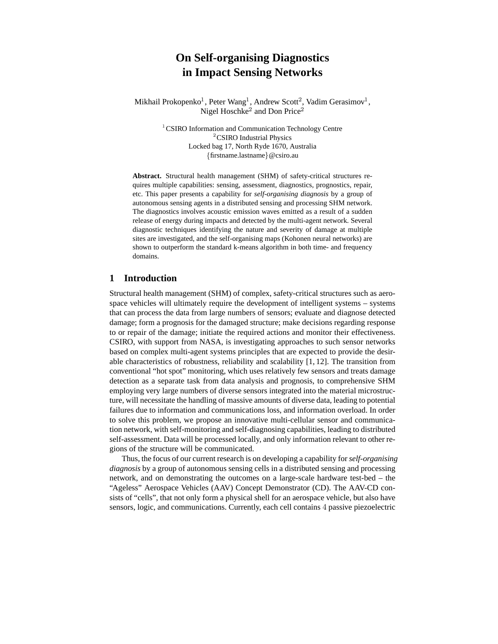# **On Self-organising Diagnostics in Impact Sensing Networks**

Mikhail Prokopenko $^1$ , Peter Wang $^1$ , Andrew Scott $^2$ , Vadim Gerasimov $^1,$ Nigel Hoschke<sup>2</sup> and Don Price<sup>2</sup>

> <sup>1</sup>CSIRO Information and Communication Technology Centre <sup>2</sup>CSIRO Industrial Physics Locked bag 17, North Ryde 1670, Australia {firstname.lastname}  $@csiro.au$

**Abstract.** Structural health management (SHM) of safety-critical structures requires multiple capabilities: sensing, assessment, diagnostics, prognostics, repair, etc. This paper presents a capability for *self-organising diagnosis* by a group of autonomous sensing agents in a distributed sensing and processing SHM network. The diagnostics involves acoustic emission waves emitted as a result of a sudden release of energy during impacts and detected by the multi-agent network. Several diagnostic techniques identifying the nature and severity of damage at multiple sites are investigated, and the self-organising maps (Kohonen neural networks) are shown to outperform the standard k-means algorithm in both time- and frequency domains.

### **1 Introduction**

Structural health management (SHM) of complex, safety-critical structures such as aerospace vehicles will ultimately require the development of intelligent systems – systems that can process the data from large numbers of sensors; evaluate and diagnose detected damage; form a prognosis for the damaged structure; make decisions regarding response to or repair of the damage; initiate the required actions and monitor their effectiveness. CSIRO, with support from NASA, is investigating approaches to such sensor networks based on complex multi-agent systems principles that are expected to provide the desirable characteristics of robustness, reliability and scalability [1, 12]. The transition from conventional "hot spot" monitoring, which uses relatively few sensors and treats damage detection as a separate task from data analysis and prognosis, to comprehensive SHM employing very large numbers of diverse sensors integrated into the material microstructure, will necessitate the handling of massive amounts of diverse data, leading to potential failures due to information and communications loss, and information overload. In order to solve this problem, we propose an innovative multi-cellular sensor and communication network, with self-monitoring and self-diagnosing capabilities, leading to distributed self-assessment. Data will be processed locally, and only information relevant to other regions of the structure will be communicated.

Thus, the focus of our current research is on developing a capability for*self-organising diagnosis* by a group of autonomous sensing cells in a distributed sensing and processing network, and on demonstrating the outcomes on a large-scale hardware test-bed – the "Ageless" Aerospace Vehicles (AAV) Concept Demonstrator (CD). The AAV-CD consists of "cells", that not only form a physical shell for an aerospace vehicle, but also have sensors, logic, and communications. Currently, each cell contains 4 passive piezoelectric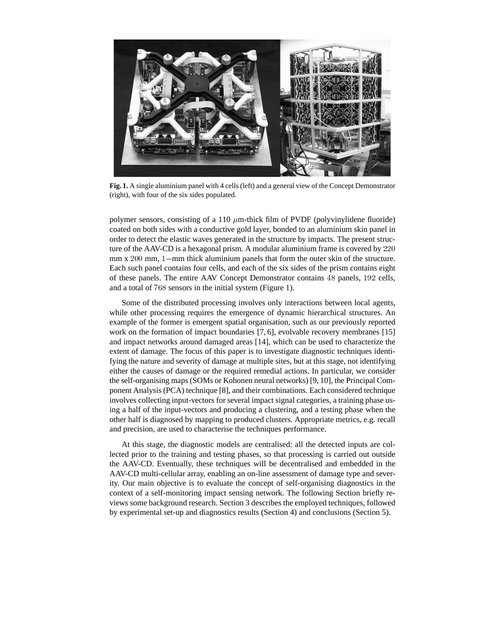

**Fig. 1.** A single aluminium panel with 4 cells (left) and a general view of the Concept Demonstrator (right), with four of the six sides populated.

polymer sensors, consisting of a 110  $\mu$ m-thick film of PVDF (polyvinylidene fluoride) coated on both sides with a conductive gold layer, bonded to an aluminium skin panel in order to detect the elastic waves generated in the structure by impacts. The present structure of the AAV-CD is a hexagonal prism. A modular aluminium frame is covered by 220 mm x 200 mm, 1-mm thick aluminium panels that form the outer skin of the structure. Each such panel contains four cells, and each of the six sides of the prism contains eight of these panels. The entire AAV Concept Demonstrator contains 48 panels, 192 cells, and a total of  $768$  sensors in the initial system (Figure 1).

Some of the distributed processing involves only interactions between local agents, while other processing requires the emergence of dynamic hierarchical structures. An example of the former is emergent spatial organisation, such as our previously reported work on the formation of impact boundaries [7, 6], evolvable recovery membranes [15] and impact networks around damaged areas [14], which can be used to characterize the extent of damage. The focus of this paper is to investigate diagnostic techniques identifying the nature and severity of damage at multiple sites, but at this stage, not identifying either the causes of damage or the required remedial actions. In particular, we consider the self-organising maps (SOMs or Kohonen neural networks) [9, 10], the Principal Component Analysis (PCA) technique [8], and their combinations. Each considered technique involves collecting input-vectors for several impact signal categories, a training phase using a half of the input-vectors and producing a clustering, and a testing phase when the other half is diagnosed by mapping to produced clusters. Appropriate metrics, e.g. recall and precision, are used to characterise the techniques performance.

At this stage, the diagnostic models are centralised: all the detected inputs are collected prior to the training and testing phases, so that processing is carried out outside the AAV-CD. Eventually, these techniques will be decentralised and embedded in the AAV-CD multi-cellular array, enabling an on-line assessment of damage type and severity. Our main objective is to evaluate the concept of self-organising diagnostics in the context of a self-monitoring impact sensing network. The following Section briefly reviews some background research. Section 3 describes the employed techniques, followed by experimental set-up and diagnostics results (Section 4) and conclusions (Section 5).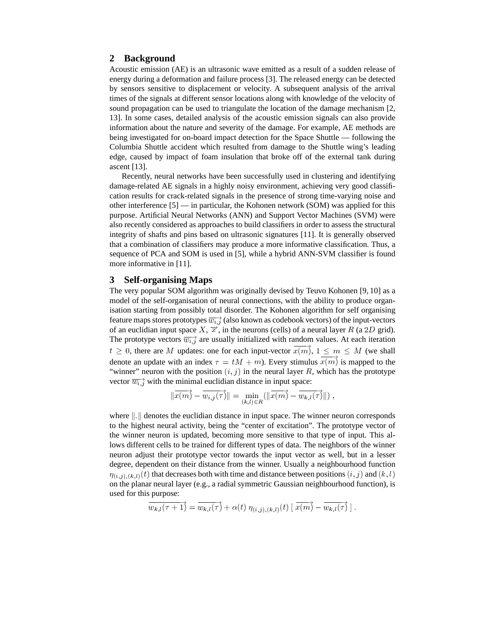# **2 Background**

Acoustic emission (AE) is an ultrasonic wave emitted as a result of a sudden release of energy during a deformation and failure process [3]. The released energy can be detected by sensors sensitive to displacement or velocity. A subsequent analysis of the arrival times of the signals at different sensor locations along with knowledge of the velocity of sound propagation can be used to triangulate the location of the damage mechanism [2, 13]. In some cases, detailed analysis of the acoustic emission signals can also provide information about the nature and severity of the damage. For example, AE methods are being investigated for on-board impact detection for the Space Shuttle — following the Columbia Shuttle accident which resulted from damage to the Shuttle wing's leading edge, caused by impact of foam insulation that broke off of the external tank during ascent [13].

Recently, neural networks have been successfully used in clustering and identifying damage-related AE signals in a highly noisy environment, achieving very good classification results for crack-related signals in the presence of strong time-varying noise and other interference  $[5]$  — in particular, the Kohonen network (SOM) was applied for this purpose. Artificial Neural Networks (ANN) and Support Vector Machines (SVM) were also recently considered as approaches to build classifiers in order to assess the structural integrity of shafts and pins based on ultrasonic signatures [11]. It is generally observed that a combination of classifiers may produce a more informative classification. Thus, a sequence of PCA and SOM is used in [5], while a hybrid ANN-SVM classifier is found more informative in [11].

## **3 Self-organising Maps**

The very popular SOM algorithm was originally devised by Teuvo Kohonen [9, 10] as a model of the self-organisation of neural connections, with the ability to produce organisation starting from possibly total disorder. The Kohonen algorithm for self organising feature maps stores prototypes  $\overrightarrow{w_{i,j}}$  (also known as codebook vectors) of the input-vectors of an euclidian input space  $X$ ,  $\overrightarrow{x}$ , in the neurons (cells) of a neural layer R (a 2D grid). The prototype vectors  $\overline{w_i}$  are usually initialized with random values. At each iteration  $t \geq 0$ , there are M updates: one for each input-vector  $x(m)$ ,  $1 \leq m \leq M$  (we shall denote an update with an index  $\tau = tM + m$ ). Every stimulus  $\overline{x(m)}$  is mapped to the "winner" neuron with the position  $(i, j)$  in the neural layer R, which has the prototype vector  $\overrightarrow{w_{i,j}}$  with the minimal euclidian distance in input space:

$$
\|\overrightarrow{x(m)}-\overrightarrow{w_{i,j}(\tau)}\|=\min_{(k,l)\in R}(\|\overrightarrow{x(m)}-\overrightarrow{w_{k,l}(\tau)}\|)\;,
$$

where  $\|.\|$  denotes the euclidian distance in input space. The winner neuron corresponds to the highest neural activity, being the "center of excitation". The prototype vector of the winner neuron is updated, becoming more sensitive to that type of input. This allows different cells to be trained for different types of data. The neighbors of the winner neuron adjust their prototype vector towards the input vector as well, but in a lesser degree, dependent on their distance from the winner. Usually a neighbourhood function  $\eta_{(i,j),(k,l)}(t)$  that decreases both with time and distance between positions  $(i, j)$  and  $(k, l)$ on the planar neural layer (e.g., a radial symmetric Gaussian neighbourhood function), is used for this purpose:

$$
\overline{w_{k,l}(\tau+1)} = \overline{w_{k,l}(\tau)} + \alpha(t) \eta_{(i,j),(k,l)}(t) [\overline{x(m)} - \overline{w_{k,l}(\tau)}].
$$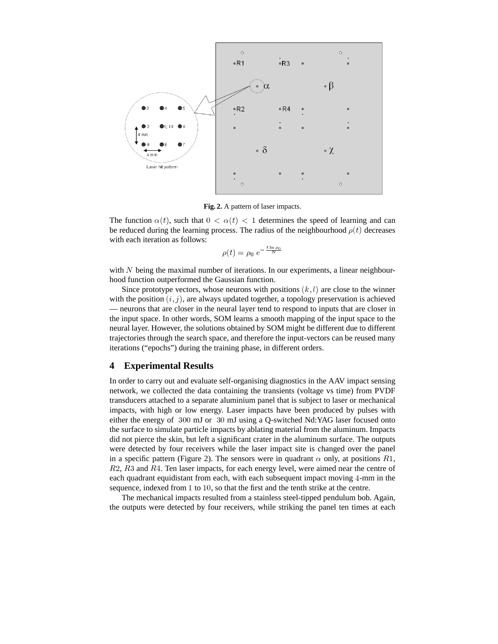

**Fig. 2.** A pattern of laser impacts.

The function  $\alpha(t)$ , such that  $0 < \alpha(t) < 1$  determines the speed of learning and can be reduced during the learning process. The radius of the neighbourhood  $\rho(t)$  decreases with each iteration as follows:

$$
\rho(t) = \rho_0 e^{-\frac{t \ln \rho_0}{N}}
$$

with  $N$  being the maximal number of iterations. In our experiments, a linear neighbourhood function outperformed the Gaussian function.

Since prototype vectors, whose neurons with positions  $(k, l)$  are close to the winner with the position  $(i, j)$ , are always updated together, a topology preservation is achieved — neurons that are closer in the neural layer tend to respond to inputs that are closer in the input space. In other words, SOM learns a smooth mapping of the input space to the neural layer. However, the solutions obtained by SOM might be different due to different trajectories through the search space, and therefore the input-vectors can be reused many iterations ("epochs") during the training phase, in different orders.

### **4 Experimental Results**

In order to carry out and evaluate self-organising diagnostics in the AAV impact sensing network, we collected the data containing the transients (voltage vs time) from PVDF transducers attached to a separate aluminium panel that is subject to laser or mechanical impacts, with high or low energy. Laser impacts have been produced by pulses with either the energy of 300 mJ or 30 mJ using a Q-switched Nd:YAG laser focused onto the surface to simulate particle impacts by ablating material from the aluminum. Impacts did not pierce the skin, but left a significant crater in the aluminum surface. The outputs were detected by four receivers while the laser impact site is changed over the panel in a specific pattern (Figure 2). The sensors were in quadrant  $\alpha$  only, at positions R1,  $R2$ ,  $R3$  and  $R4$ . Ten laser impacts, for each energy level, were aimed near the centre of each quadrant equidistant from each, with each subsequent impact moving 4-mm in the sequence, indexed from 1 to 10, so that the first and the tenth strike at the centre.

The mechanical impacts resulted from a stainless steel-tipped pendulum bob. Again, the outputs were detected by four receivers, while striking the panel ten times at each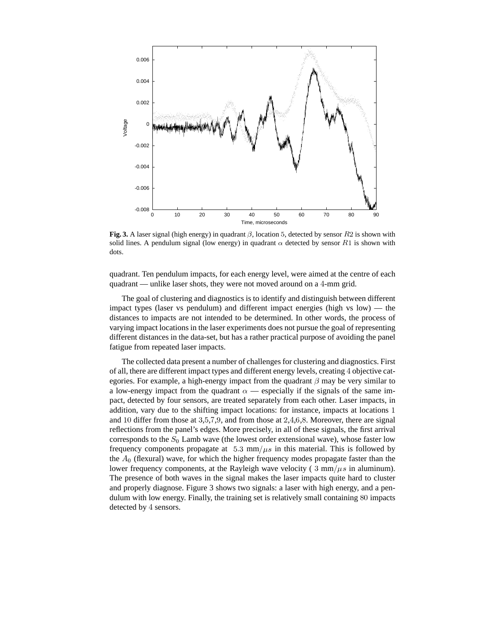

**Fig. 3.** A laser signal (high energy) in quadrant  $\beta$ , location 5, detected by sensor R2 is shown with solid lines. A pendulum signal (low energy) in quadrant  $\alpha$  detected by sensor R1 is shown with dots.

quadrant. Ten pendulum impacts, for each energy level, were aimed at the centre of each quadrant — unlike laser shots, they were not moved around on a  $4$ -mm grid.

The goal of clustering and diagnostics is to identify and distinguish between different impact types (laser vs pendulum) and different impact energies (high vs low) — the distances to impacts are not intended to be determined. In other words, the process of varying impact locations in the laser experiments does not pursue the goal of representing different distances in the data-set, but has a rather practical purpose of avoiding the panel fatigue from repeated laser impacts.

The collected data present a number of challenges for clustering and diagnostics. First of all, there are different impact types and different energy levels, creating 4 objective categories. For example, a high-energy impact from the quadrant  $\beta$  may be very similar to a low-energy impact from the quadrant  $\alpha$  — especially if the signals of the same impact, detected by four sensors, are treated separately from each other. Laser impacts, in addition, vary due to the shifting impact locations: for instance, impacts at locations 1 and 10 differ from those at  $3,5,7,9$ , and from those at  $2,4,6,8$ . Moreover, there are signal reflections from the panel's edges. More precisely, in all of these signals, the first arrival corresponds to the  $S_0$  Lamb wave (the lowest order extensional wave), whose faster low frequency components propagate at 5.3 mm/ $\mu$ s in this material. This is followed by the  $A_0$  (flexural) wave, for which the higher frequency modes propagate faster than the lower frequency components, at the Rayleigh wave velocity ( $3 \text{ mm}/\mu s$  in aluminum). The presence of both waves in the signal makes the laser impacts quite hard to cluster and properly diagnose. Figure 3 shows two signals: a laser with high energy, and a pendulum with low energy. Finally, the training set is relatively small containing 80 impacts detected by 4 sensors.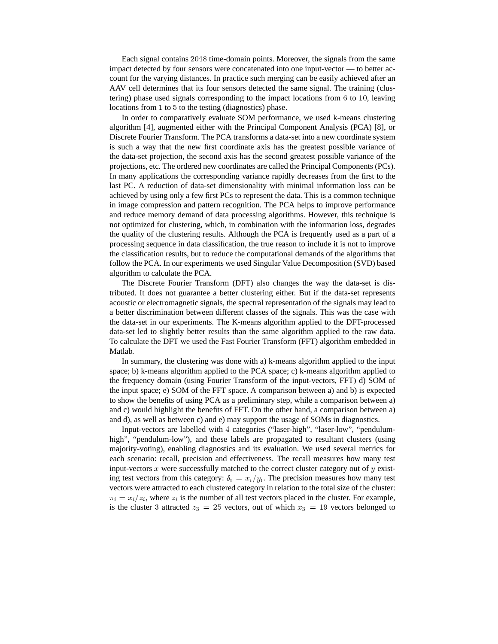Each signal contains 2048 time-domain points. Moreover, the signals from the same impact detected by four sensors were concatenated into one input-vector — to better account for the varying distances. In practice such merging can be easily achieved after an AAV cell determines that its four sensors detected the same signal. The training (clustering) phase used signals corresponding to the impact locations from  $6$  to  $10$ , leaving locations from  $1$  to  $5$  to the testing (diagnostics) phase.

In order to comparatively evaluate SOM performance, we used k-means clustering algorithm [4], augmented either with the Principal Component Analysis (PCA) [8], or Discrete Fourier Transform. The PCA transforms a data-set into a new coordinate system is such a way that the new first coordinate axis has the greatest possible variance of the data-set projection, the second axis has the second greatest possible variance of the projections, etc. The ordered new coordinates are called the Principal Components (PCs). In many applications the corresponding variance rapidly decreases from the first to the last PC. A reduction of data-set dimensionality with minimal information loss can be achieved by using only a few first PCs to represent the data. This is a common technique in image compression and pattern recognition. The PCA helps to improve performance and reduce memory demand of data processing algorithms. However, this technique is not optimized for clustering, which, in combination with the information loss, degrades the quality of the clustering results. Although the PCA is frequently used as a part of a processing sequence in data classification, the true reason to include it is not to improve the classification results, but to reduce the computational demands of the algorithms that follow the PCA. In our experiments we used Singular Value Decomposition (SVD) based algorithm to calculate the PCA.

The Discrete Fourier Transform (DFT) also changes the way the data-set is distributed. It does not guarantee a better clustering either. But if the data-set represents acoustic or electromagnetic signals, the spectral representation of the signals may lead to a better discrimination between different classes of the signals. This was the case with the data-set in our experiments. The K-means algorithm applied to the DFT-processed data-set led to slightly better results than the same algorithm applied to the raw data. To calculate the DFT we used the Fast Fourier Transform (FFT) algorithm embedded in Matlab.

In summary, the clustering was done with a) k-means algorithm applied to the input space; b) k-means algorithm applied to the PCA space; c) k-means algorithm applied to the frequency domain (using Fourier Transform of the input-vectors, FFT) d) SOM of the input space; e) SOM of the FFT space. A comparison between a) and b) is expected to show the benefits of using PCA as a preliminary step, while a comparison between a) and c) would highlight the benefits of FFT. On the other hand, a comparison between a) and d), as well as between c) and e) may support the usage of SOMs in diagnostics.

Input-vectors are labelled with 4 categories ("laser-high", "laser-low", "pendulumhigh", "pendulum-low"), and these labels are propagated to resultant clusters (using majority-voting), enabling diagnostics and its evaluation. We used several metrics for each scenario: recall, precision and effectiveness. The recall measures how many test input-vectors  $x$  were successfully matched to the correct cluster category out of  $y$  existing test vectors from this category:  $\delta_i = x_i/y_i$ . The precision measures how many test vectors were attracted to each clustered category in relation to the total size of the cluster:  $\pi_i = x_i/z_i$ , where  $z_i$  is the number of all test vectors placed in the cluster. For example, is the cluster 3 attracted  $z_3 = 25$  vectors, out of which  $x_3 = 19$  vectors belonged to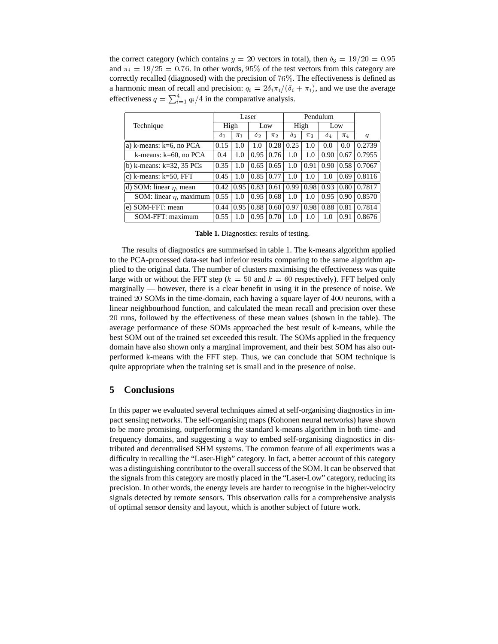the correct category (which contains  $y = 20$  vectors in total), then  $\delta_3 = 19/20 = 0.95$ and  $\pi_i = 19/25 = 0.76$ . In other words, 95% of the test vectors from this category are correctly recalled (diagnosed) with the precision of  $76\%$ . The effectiveness is defined as a harmonic mean of recall and precision:  $q_i = 2\delta_i \pi_i/(\delta_i + \pi_i)$ , and we use the average effectiveness  $q = \sum_{i=1}^{4} q_i/4$  in the comparative analysis.

|                              | Laser          |         |            |                | Pendulum   |          |      |         |        |
|------------------------------|----------------|---------|------------|----------------|------------|----------|------|---------|--------|
| Technique                    | High           |         | Low        |                | High       |          | Low  |         |        |
|                              | O <sub>1</sub> | $\pi_1$ | $\sigma_2$ | $\pi_2$        | $\delta_3$ | $\pi_3$  | 04   | $\pi_4$ | q      |
| a) k-means: $k=6$ , no PCA   | 0.15           | 1.0     | 1.0        | 0.28           | 0.25       | $\Omega$ | 0.0  | 0.0     | 0.2739 |
| k-means: $k=60$ , no PCA     | 0.4            | 1.0     | 0.95       | 0.76           | 1.0        | 1.0      | 0.90 | 0.67    | 0.7955 |
| b) k-means: $k=32$ , 35 PCs  | 0.35           | 1.0     | 0.65       | 0.65           | 1.0        | 0.91     | 0.90 | 0.58    | 0.7067 |
| c) k-means: $k=50$ , FFT     | 0.45           | 1.0     | 0.85       | 77<br>$\Omega$ | 1.0        | 1.0      | 1.0  | 0.69    | 0.8116 |
| d) SOM: linear $\eta$ , mean | 0.42           | 0.95    | 0.83       | 0.61           | 0.99       | 0.98     | 0.93 | 0.80    | 0.7817 |
| SOM: linear $\eta$ , maximum | 0.55           | 1.0     | 0.95       | 0.68           | 1.0        | 1.0      | 0.95 | 0.90    | 0.8570 |
| le) SOM-FFT: mean            | 0.44           | 0.95    | 0.88       | 0.60           | 0.97       | 0.98     | 0.88 | 0.81    | 0.7814 |
| SOM-FFT: maximum             | 0.55           | 1.0     | 0.95       | 0.70           | 1.0        | .0       | 1.0  | 0.91    | 0.8676 |

**Table 1.** Diagnostics: results of testing.

The results of diagnostics are summarised in table 1. The k-means algorithm applied to the PCA-processed data-set had inferior results comparing to the same algorithm applied to the original data. The number of clusters maximising the effectiveness was quite large with or without the FFT step ( $k = 50$  and  $k = 60$  respectively). FFT helped only marginally — however, there is a clear benefit in using it in the presence of noise. We trained  $20$  SOMs in the time-domain, each having a square layer of  $400$  neurons, with a linear neighbourhood function, and calculated the mean recall and precision over these 20 runs, followed by the effectiveness of these mean values (shown in the table). The average performance of these SOMs approached the best result of k-means, while the best SOM out of the trained set exceeded this result. The SOMs applied in the frequency domain have also shown only a marginal improvement, and their best SOM has also outperformed k-means with the FFT step. Thus, we can conclude that SOM technique is quite appropriate when the training set is small and in the presence of noise.

## **5 Conclusions**

In this paper we evaluated several techniques aimed at self-organising diagnostics in impact sensing networks. The self-organising maps (Kohonen neural networks) have shown to be more promising, outperforming the standard k-means algorithm in both time- and frequency domains, and suggesting a way to embed self-organising diagnostics in distributed and decentralised SHM systems. The common feature of all experiments was a difficulty in recalling the "Laser-High" category. In fact, a better account of this category was a distinguishing contributor to the overall success of the SOM. It can be observed that the signals from this category are mostly placed in the "Laser-Low" category, reducing its precision. In other words, the energy levels are harder to recognise in the higher-velocity signals detected by remote sensors. This observation calls for a comprehensive analysis of optimal sensor density and layout, which is another subject of future work.